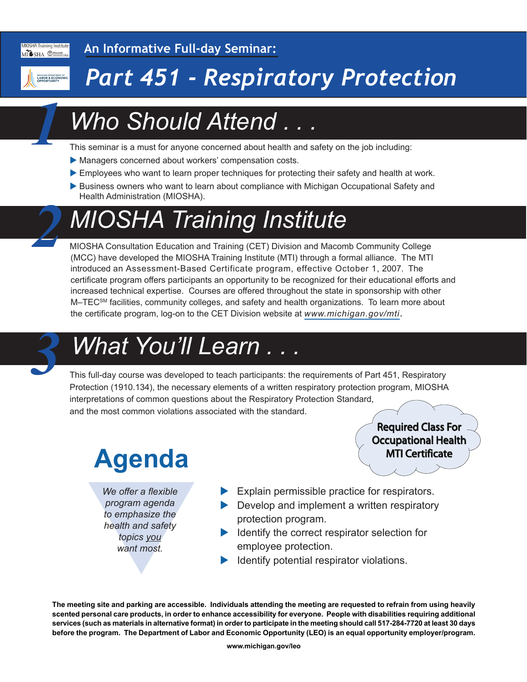

**An Informative Full-day Seminar:**

*1*

*2*

## *Part 451 - Respiratory Protection*

## *Who Should Attend . . .*

This seminar is a must for anyone concerned about health and safety on the job including:

- Managers concerned about workers' compensation costs.
- Employees who want to learn proper techniques for protecting their safety and health at work.
- Business owners who want to learn about compliance with Michigan Occupational Safety and Health Administration (MIOSHA).

## *MIOSHA Training Institute*

MIOSHA Consultation Education and Training (CET) Division and Macomb Community College (MCC) have developed the MIOSHA Training Institute (MTI) through a formal alliance. The MTI introduced an Assessment-Based Certificate program, effective October 1, 2007. The certificate program offers participants an opportunity to be recognized for their educational efforts and increased technical expertise. Courses are offered throughout the state in sponsorship with other M–TEC<sup>SM</sup> facilities, community colleges, and safety and health organizations. To learn more about the certificate program, log-on to the CET Division website at *[www.michigan.gov/mti](http://www.michigan.gov/mti)*.

### *What You'll Learn . . . 3*

This full-day course was developed to teach participants: the requirements of Part 451, Respiratory Protection (1910.134), the necessary elements of a written respiratory protection program, MIOSHA interpretations of common questions about the Respiratory Protection Standard, and the most common violations associated with the standard.

# **Agenda**

We offer a flexible<br>program agenda<br>to emphasize the<br>health and safety<br>topics you<br>want most. *We offer a flexible program agenda to emphasize the health and safety topics you want most.*

 $\blacktriangleright$  Explain permissible practice for respirators.

Required Class For Required Class Occupational Health Occupational Health MTI Certificate MTI

- $\blacktriangleright$  Develop and implement a written respiratory protection program.
- $\blacktriangleright$  Identify the correct respirator selection for employee protection.
- Identify potential respirator violations.

**The meeting site and parking are accessible. Individuals attending the meeting are requested to refrain from using heavily scented personal care products, in order to enhance accessibility for everyone. People with disabilities requiring additional services (such as materials in alternative format) in order to participate in the meeting should call 517-284-7720 at least 30 days before the program. The Department of Labor and Economic Opportunity (LEO) is an equal opportunity employer/program.**